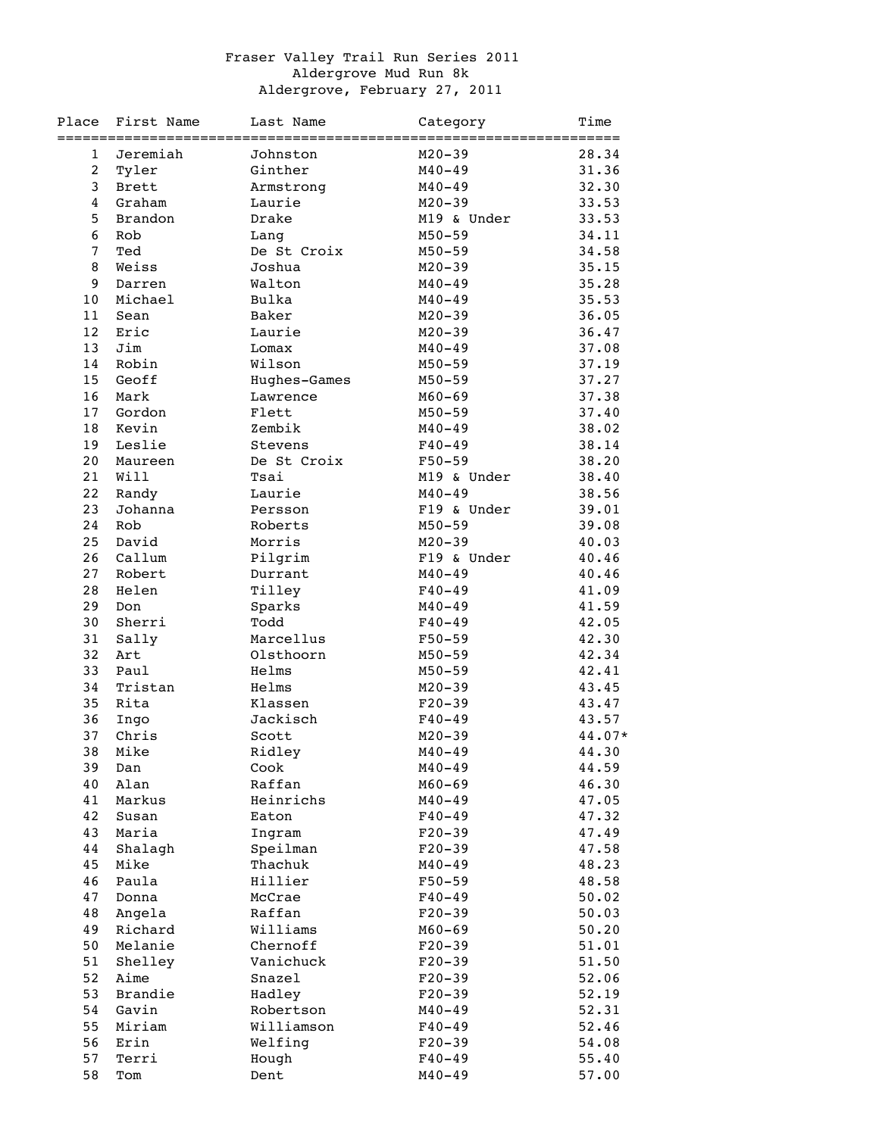## Fraser Valley Trail Run Series 2011 Aldergrove Mud Run 8k Aldergrove, February 27, 2011

| Place             | First Name     | Last Name    | Category                               | Time   |
|-------------------|----------------|--------------|----------------------------------------|--------|
| 1                 | Jeremiah       | Johnston     | ========================<br>$M20 - 39$ | 28.34  |
| 2                 | Tyler          | Ginther      | $M40 - 49$                             | 31.36  |
| 3                 | Brett          | Armstrong    | $M40 - 49$                             | 32.30  |
| $\overline{4}$    | Graham         | Laurie       | $M20 - 39$                             | 33.53  |
| 5                 | <b>Brandon</b> | Drake        | M19 & Under                            | 33.53  |
| 6                 | Rob            | Lang         | $M50 - 59$                             | 34.11  |
| $\overline{7}$    | Ted            | De St Croix  | $M50 - 59$                             | 34.58  |
| 8                 | Weiss          | Joshua       | $M20 - 39$                             | 35.15  |
| 9                 | Darren         | Walton       | $M40 - 49$                             | 35.28  |
| 10                | Michael        | Bulka        | $M40 - 49$                             | 35.53  |
| 11                | Sean           | Baker        | $M20 - 39$                             | 36.05  |
| $12 \overline{ }$ | Eric           | Laurie       | $M20 - 39$                             | 36.47  |
| 13                | Jim            | Lomax        | $M40 - 49$                             | 37.08  |
| 14                | Robin          | Wilson       | $M50 - 59$                             | 37.19  |
| 15                | Geoff          | Hughes-Games | $M50 - 59$                             | 37.27  |
| 16                | Mark           | Lawrence     | $M60 - 69$                             | 37.38  |
| 17                | Gordon         | Flett        | $M50 - 59$                             | 37.40  |
| 18                | Kevin          | Zembik       | $M40 - 49$                             | 38.02  |
| 19                | Leslie         | Stevens      | $F40 - 49$                             | 38.14  |
| 20                | Maureen        | De St Croix  | $F50 - 59$                             | 38.20  |
| 21                | Will           | Tsai         | M19 & Under                            | 38.40  |
| 22                | Randy          | Laurie       | $M40 - 49$                             | 38.56  |
| 23                | Johanna        | Persson      | F19 & Under                            | 39.01  |
| 24                | Rob            | Roberts      | $M50 - 59$                             | 39.08  |
| 25                | David          | Morris       | $M20 - 39$                             | 40.03  |
| 26                | Callum         | Pilgrim      | F19 & Under                            | 40.46  |
| 27                | Robert         | Durrant      | $M40 - 49$                             | 40.46  |
| 28                | Helen          | Tilley       | $F40 - 49$                             | 41.09  |
| 29                | Don            | Sparks       | $M40 - 49$                             | 41.59  |
| 30                | Sherri         | Todd         | $F40 - 49$                             | 42.05  |
| 31                | Sally          | Marcellus    | $F50 - 59$                             | 42.30  |
| 32                | Art            | Olsthoorn    | $M50 - 59$                             | 42.34  |
| 33                | Paul           | Helms        | $M50 - 59$                             | 42.41  |
| 34                | Tristan        | Helms        | $M20 - 39$                             | 43.45  |
| 35                | Rita           | Klassen      | $F20-39$                               | 43.47  |
| 36                | Ingo           | Jackisch     | $F40 - 49$                             | 43.57  |
| 37                | Chris          | Scott        | $M20 - 39$                             | 44.07* |
|                   | 38 Mike        | Ridley       | $M40 - 49$                             | 44.30  |
| 39                | Dan            | Cook         | $M40 - 49$                             | 44.59  |
| 40                | Alan           | Raffan       | $M60 - 69$                             | 46.30  |
| 41                | Markus         | Heinrichs    | $M40 - 49$                             | 47.05  |
| 42                | Susan          | Eaton        | $F40 - 49$                             | 47.32  |
| 43                | Maria          | Ingram       | $F20-39$                               | 47.49  |
| 44                | Shalagh        | Speilman     | $F20-39$                               | 47.58  |
| 45                | Mike           | Thachuk      | $M40 - 49$                             | 48.23  |
| 46                | Paula          | Hillier      | $F50 - 59$                             | 48.58  |
| 47                | Donna          | McCrae       | $F40 - 49$                             | 50.02  |
| 48                | Angela         | Raffan       | $F20-39$                               | 50.03  |
| 49                | Richard        | Williams     | $M60 - 69$                             | 50.20  |
| 50                | Melanie        | Chernoff     | $F20-39$                               | 51.01  |
| 51                | Shelley        | Vanichuck    | $F20-39$                               | 51.50  |
| 52                | Aime           | Snazel       | $F20-39$                               | 52.06  |
| 53                | Brandie        | Hadley       | $F20-39$                               | 52.19  |
| 54                | Gavin          | Robertson    | $M40 - 49$                             | 52.31  |
| 55                | Miriam         | Williamson   | $F40 - 49$                             | 52.46  |
| 56                | Erin           | Welfing      | $F20-39$                               | 54.08  |
| 57                | Terri          | Hough        | $F40 - 49$                             | 55.40  |
| 58                | Tom            | Dent         | $M40 - 49$                             | 57.00  |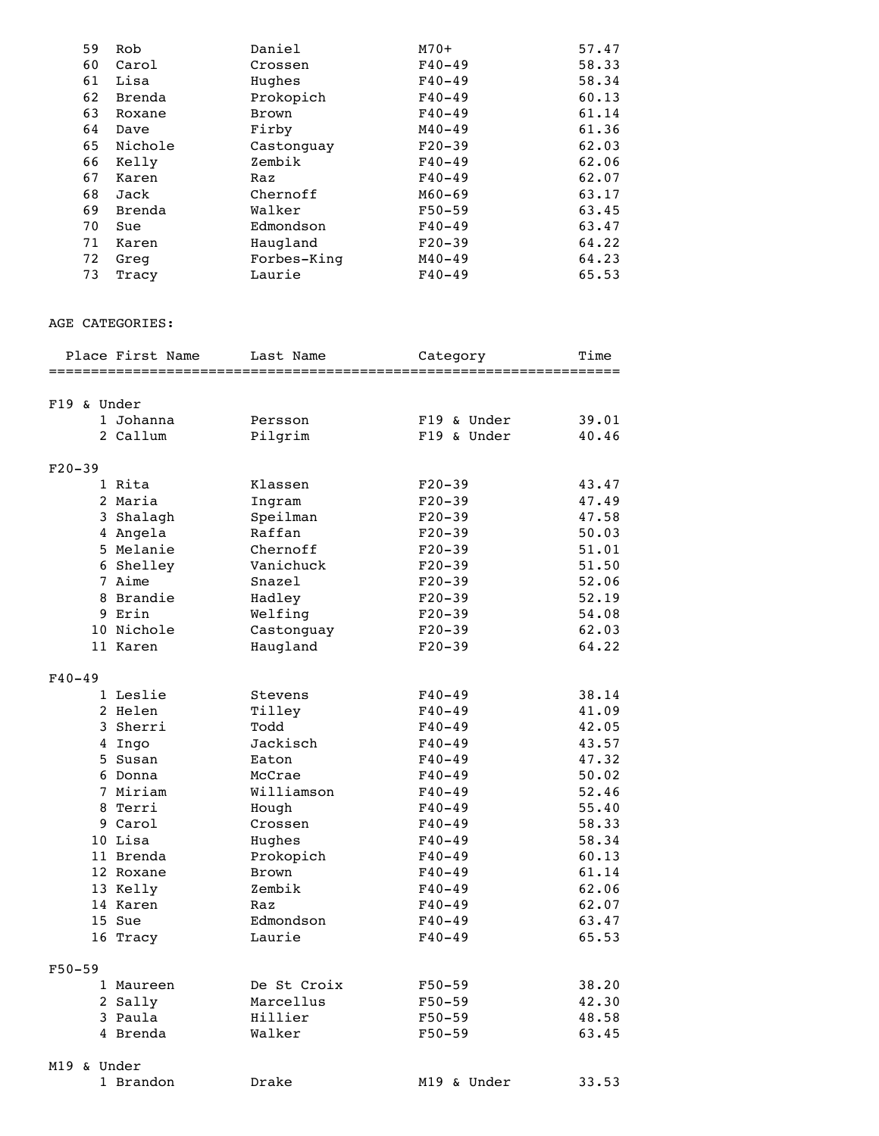| 59 | Rob     | Daniel       | $M70+$     | 57.47 |
|----|---------|--------------|------------|-------|
| 60 | Carol   | Crossen      | $F40 - 49$ | 58.33 |
| 61 | Lisa    | Hughes       | $F40 - 49$ | 58.34 |
| 62 | Brenda  | Prokopich    | $F40 - 49$ | 60.13 |
| 63 | Roxane  | <b>Brown</b> | $F40 - 49$ | 61.14 |
| 64 | Dave    | Firby        | $M40 - 49$ | 61.36 |
| 65 | Nichole | Castonquay   | $F20-39$   | 62.03 |
| 66 | Kelly   | Zembik       | $F40 - 49$ | 62.06 |
| 67 | Karen   | Raz          | $F40 - 49$ | 62.07 |
| 68 | Jack    | Chernoff     | $M60 - 69$ | 63.17 |
| 69 | Brenda  | Walker       | $F50-59$   | 63.45 |
| 70 | Sue     | Edmondson    | $F40 - 49$ | 63.47 |
| 71 | Karen   | Haugland     | $F20-39$   | 64.22 |
| 72 | Greg    | Forbes-King  | $M40 - 49$ | 64.23 |
| 73 | Tracy   | Laurie       | $F40 - 49$ | 65.53 |
|    |         |              |            |       |

## AGE CATEGORIES:

|             | Place First Name | Last Name        | Category                 | Time<br>=========== |
|-------------|------------------|------------------|--------------------------|---------------------|
|             |                  |                  |                          |                     |
| F19 & Under |                  |                  |                          |                     |
|             | 1 Johanna        | Persson          | F19 & Under              | 39.01               |
|             | 2 Callum         | Pilgrim          | $F19$ & Under            | 40.46               |
| $F20-39$    |                  |                  |                          |                     |
|             | 1 Rita           | Klassen          | $F20-39$                 | 43.47               |
|             | 2 Maria          | Ingram           | $F20-39$                 | 47.49               |
|             | 3 Shalagh        | Speilman         | $F20 - 39$               | 47.58               |
|             | 4 Angela         | Raffan           | $F20-39$                 | 50.03               |
|             | 5 Melanie        | Chernoff         | $F20-39$                 | 51.01               |
|             | 6 Shelley        | Vanichuck        | $F20-39$                 | 51.50               |
|             | 7 Aime           | Snazel           | $F20-39$                 | 52.06               |
|             | 8 Brandie        | Hadley           | $F20-39$                 | 52.19               |
|             | 9 Erin           | Welfing          | $F20-39$                 | 54.08               |
|             | 10 Nichole       | Castonguay       | $F20-39$                 | 62.03               |
|             | 11 Karen         | Haugland         | $F20-39$                 | 64.22               |
| $F40 - 49$  |                  |                  |                          |                     |
|             | 1 Leslie         | Stevens          | $F40 - 49$               | 38.14               |
|             | 2 Helen          | Tilley           | $F40 - 49$               | 41.09               |
|             | 3 Sherri         | Todd             | $F40 - 49$               | 42.05               |
|             | 4 Ingo           | Jackisch         | $F40 - 49$               | 43.57               |
|             | 5 Susan          | Eaton            | $F40 - 49$               | 47.32               |
|             | 6 Donna          | McCrae           | $F40 - 49$               | 50.02               |
|             | 7 Miriam         | Williamson       | $F40 - 49$               | 52.46               |
|             | 8 Terri          | Hough            | $F40 - 49$               | 55.40               |
|             | 9 Carol          | Crossen          | $F40 - 49$               | 58.33               |
|             | 10 Lisa          | Hughes           | $F40 - 49$               | 58.34               |
|             | 11 Brenda        | Prokopich        | $F40 - 49$               | 60.13               |
|             | 12 Roxane        | <b>Brown</b>     | $F40 - 49$               | 61.14               |
|             | 13 Kelly         | Zembik           | $F40 - 49$               | 62.06               |
|             | 14 Karen         | Raz<br>Edmondson | $F40 - 49$               | 62.07<br>63.47      |
|             | 15 Sue           | Laurie           | $F40 - 49$<br>$F40 - 49$ | 65.53               |
|             | 16 Tracy         |                  |                          |                     |
| $F50 - 59$  |                  |                  |                          |                     |
|             | 1 Maureen        | De St Croix      | $F50 - 59$               | 38.20               |
|             | 2 Sally          | Marcellus        | $F50 - 59$               | 42.30               |
|             | 3 Paula          | Hillier          | $F50 - 59$               | 48.58               |
|             | 4 Brenda         | Walker           | $F50 - 59$               | 63.45               |
| M19 & Under |                  |                  |                          |                     |
|             | 1 Brandon        | Drake            | M19 & Under              | 33.53               |